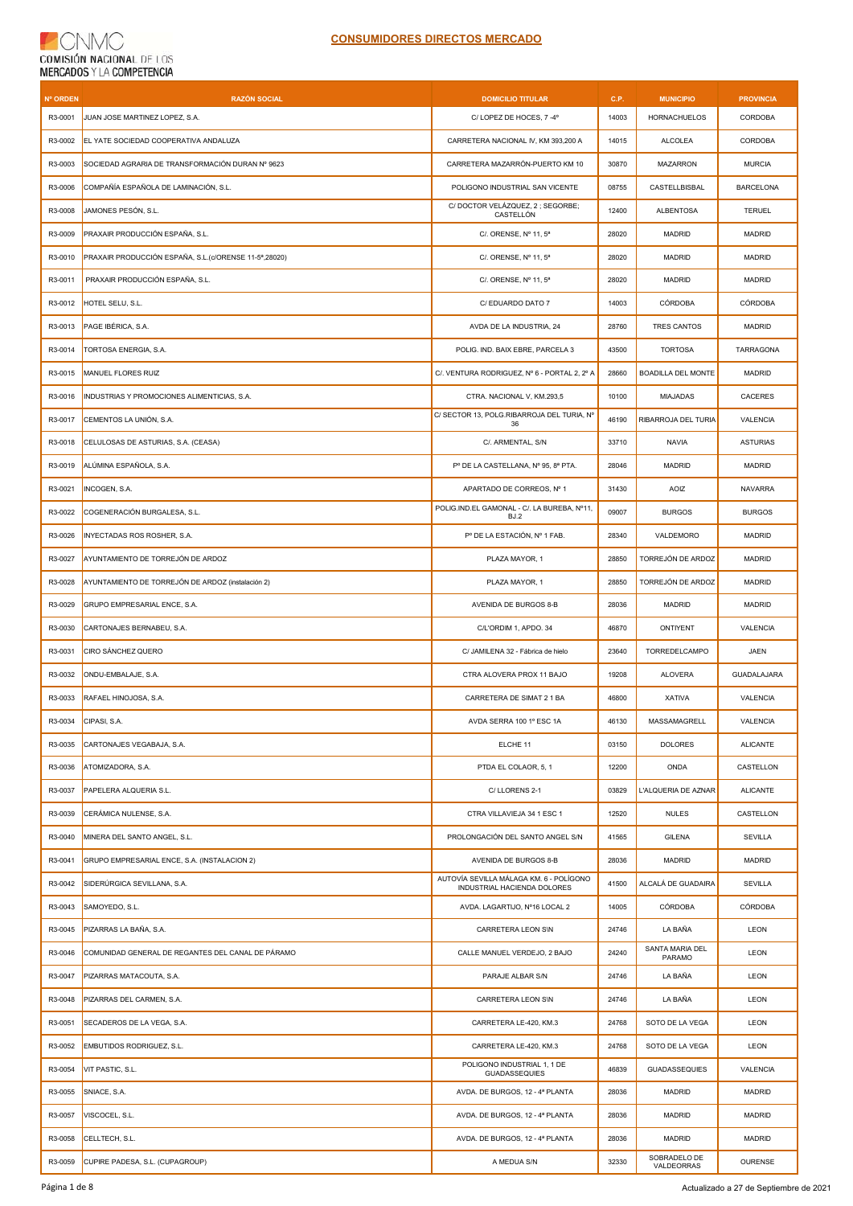| <b>Nº ORDEN</b> | <b>RAZÓN SOCIAL</b>                                    | <b>DOMICILIO TITULAR</b>                                               | C.P.  | <b>MUNICIPIO</b>           | <b>PROVINCIA</b>   |
|-----------------|--------------------------------------------------------|------------------------------------------------------------------------|-------|----------------------------|--------------------|
| R3-0001         | JUAN JOSE MARTINEZ LOPEZ, S.A.                         | C/LOPEZ DE HOCES, 7-4°                                                 | 14003 | <b>HORNACHUELOS</b>        | CORDOBA            |
| R3-0002         | EL YATE SOCIEDAD COOPERATIVA ANDALUZA                  | CARRETERA NACIONAL IV, KM 393,200 A                                    | 14015 | <b>ALCOLEA</b>             | CORDOBA            |
| R3-0003         | SOCIEDAD AGRARIA DE TRANSFORMACIÓN DURAN Nº 9623       | CARRETERA MAZARRÓN-PUERTO KM 10                                        | 30870 | <b>MAZARRON</b>            | <b>MURCIA</b>      |
| R3-0006         | COMPAÑÍA ESPAÑOLA DE LAMINACIÓN, S.L.                  | POLIGONO INDUSTRIAL SAN VICENTE                                        | 08755 | CASTELLBISBAL              | <b>BARCELONA</b>   |
| R3-0008         | JAMONES PESÓN, S.L.                                    | C/DOCTOR VELÁZQUEZ, 2; SEGORBE;<br>CASTELLÓN                           | 12400 | <b>ALBENTOSA</b>           | <b>TERUEL</b>      |
| R3-0009         | PRAXAIR PRODUCCIÓN ESPAÑA, S.L.                        | C/. ORENSE. Nº 11.5ª                                                   | 28020 | <b>MADRID</b>              | <b>MADRID</b>      |
| R3-0010         | PRAXAIR PRODUCCIÓN ESPAÑA, S.L. (c/ORENSE 11-5ª,28020) | C/. ORENSE, Nº 11, 5 <sup>a</sup>                                      | 28020 | <b>MADRID</b>              | <b>MADRID</b>      |
| R3-0011         | PRAXAIR PRODUCCIÓN ESPAÑA, S.L.                        | C/. ORENSE, Nº 11, 5ª                                                  | 28020 | <b>MADRID</b>              | <b>MADRID</b>      |
| R3-0012         | HOTEL SELU, S.L.                                       | C/ EDUARDO DATO 7                                                      | 14003 | CÓRDOBA                    | <b>CÓRDOBA</b>     |
| R3-0013         | PAGE IBÉRICA, S.A.                                     | AVDA DE LA INDUSTRIA, 24                                               | 28760 | <b>TRES CANTOS</b>         | <b>MADRID</b>      |
| R3-0014         | TORTOSA ENERGIA, S.A.                                  | POLIG. IND. BAIX EBRE, PARCELA 3                                       | 43500 | <b>TORTOSA</b>             | TARRAGONA          |
| R3-0015         | MANUEL FLORES RUIZ                                     | C/, VENTURA RODRIGUEZ, Nº 6 - PORTAL 2, 2º A                           | 28660 | <b>BOADILLA DEL MONTE</b>  | <b>MADRID</b>      |
| R3-0016         | INDUSTRIAS Y PROMOCIONES ALIMENTICIAS, S.A.            | CTRA. NACIONAL V, KM.293,5                                             | 10100 | <b>MIAJADAS</b>            | CACERES            |
| R3-0017         | CEMENTOS LA UNIÓN, S.A.                                | C/ SECTOR 13, POLG.RIBARROJA DEL TURIA, Nº<br>36                       | 46190 | RIBARROJA DEL TURIA        | VALENCIA           |
| R3-0018         | CELULOSAS DE ASTURIAS, S.A. (CEASA)                    | C/. ARMENTAL, S/N                                                      | 33710 | <b>NAVIA</b>               | <b>ASTURIAS</b>    |
| R3-0019         | ALÚMINA ESPAÑOLA, S.A.                                 | P° DE LA CASTELLANA, N° 95, 8ª PTA.                                    | 28046 | <b>MADRID</b>              | <b>MADRID</b>      |
| R3-0021         | INCOGEN, S.A.                                          | APARTADO DE CORREOS, Nº 1                                              | 31430 | AOIZ                       | <b>NAVARRA</b>     |
| R3-0022         | COGENERACIÓN BURGALESA, S.L.                           | POLIG.IND.EL GAMONAL - C/. LA BUREBA, Nº11,<br>BJ.2                    | 09007 | <b>BURGOS</b>              | <b>BURGOS</b>      |
| R3-0026         | INYECTADAS ROS ROSHER, S.A.                            | P° DE LA ESTACIÓN, N° 1 FAB.                                           | 28340 | VALDEMORO                  | <b>MADRID</b>      |
| R3-0027         | AYUNTAMIENTO DE TORREJÓN DE ARDOZ                      | PLAZA MAYOR, 1                                                         | 28850 | TORREJÓN DE ARDOZ          | <b>MADRID</b>      |
| R3-0028         | AYUNTAMIENTO DE TORREJÓN DE ARDOZ (instalación 2)      | PLAZA MAYOR, 1                                                         | 28850 | TORREJÓN DE ARDOZ          | <b>MADRID</b>      |
| R3-0029         | GRUPO EMPRESARIAL ENCE, S.A.                           | AVENIDA DE BURGOS 8-B                                                  | 28036 | <b>MADRID</b>              | <b>MADRID</b>      |
| R3-0030         | CARTONAJES BERNABEU, S.A.                              | C/L'ORDIM 1, APDO. 34                                                  | 46870 | ONTIYENT                   | VALENCIA           |
| R3-0031         | CIRO SÁNCHEZ QUERO                                     | C/ JAMILENA 32 - Fábrica de hielo                                      | 23640 | TORREDELCAMPO              | JAEN               |
| R3-0032         | ONDU-EMBALAJE, S.A.                                    | CTRA ALOVERA PROX 11 BAJO                                              | 19208 | <b>ALOVERA</b>             | <b>GUADALAJARA</b> |
| R3-0033         | RAFAEL HINOJOSA, S.A.                                  | CARRETERA DE SIMAT 2 1 BA                                              | 46800 | <b>XATIVA</b>              | VALENCIA           |
| R3-0034         | CIPASI, S.A.                                           | AVDA SERRA 100 1º ESC 1A                                               | 46130 | MASSAMAGRELL               | VALENCIA           |
| R3-0035         | CARTONAJES VEGABAJA, S.A.                              | ELCHE 11                                                               | 03150 | <b>DOLORES</b>             | <b>ALICANTE</b>    |
| R3-0036         | ATOMIZADORA, S.A.                                      | PTDA EL COLAOR, 5, 1                                                   | 12200 | ONDA                       | CASTELLON          |
| R3-0037         | PAPELERA ALQUERIA S.L.                                 | C/LLORENS 2-1                                                          | 03829 | L'ALQUERIA DE AZNAR        | <b>ALICANTE</b>    |
| R3-0039         | CERÁMICA NULENSE, S.A.                                 | CTRA VILLAVIEJA 34 1 ESC 1                                             | 12520 | <b>NULES</b>               | CASTELLON          |
| R3-0040         | MINERA DEL SANTO ANGEL, S.L.                           | PROLONGACIÓN DEL SANTO ANGEL S/N                                       | 41565 | <b>GILENA</b>              | <b>SEVILLA</b>     |
| R3-0041         | GRUPO EMPRESARIAL ENCE, S.A. (INSTALACION 2)           | AVENIDA DE BURGOS 8-B                                                  | 28036 | <b>MADRID</b>              | <b>MADRID</b>      |
| R3-0042         | SIDERÚRGICA SEVILLANA, S.A.                            | AUTOVÍA SEVILLA MÁLAGA KM. 6 - POLÍGONO<br>INDUSTRIAL HACIENDA DOLORES | 41500 | ALCALÁ DE GUADAIRA         | SEVILLA            |
| R3-0043         | SAMOYEDO, S.L.                                         | AVDA. LAGARTIJO, Nº16 LOCAL 2                                          | 14005 | CÓRDOBA                    | CÓRDOBA            |
| R3-0045         | PIZARRAS LA BAÑA, S.A.                                 | CARRETERA LEON S\N                                                     | 24746 | LA BAÑA                    | LEON               |
| R3-0046         | COMUNIDAD GENERAL DE REGANTES DEL CANAL DE PÁRAMO      | CALLE MANUEL VERDEJO, 2 BAJO                                           | 24240 | SANTA MARIA DEL<br>PARAMO  | LEON               |
| R3-0047         | PIZARRAS MATACOUTA, S.A.                               | PARAJE ALBAR S/N                                                       | 24746 | LA BAÑA                    | LEON               |
| R3-0048         | PIZARRAS DEL CARMEN, S.A.                              | CARRETERA LEON S\N                                                     | 24746 | LA BAÑA                    | LEON               |
| R3-0051         | SECADEROS DE LA VEGA, S.A.                             | CARRETERA LE-420, KM.3                                                 | 24768 | SOTO DE LA VEGA            | LEON               |
| R3-0052         | EMBUTIDOS RODRIGUEZ, S.L.                              | CARRETERA LE-420, KM.3                                                 | 24768 | SOTO DE LA VEGA            | LEON               |
| R3-0054         | VIT PASTIC, S.L.                                       | POLIGONO INDUSTRIAL 1, 1 DE<br><b>GUADASSEQUIES</b>                    | 46839 | <b>GUADASSEQUIES</b>       | VALENCIA           |
| R3-0055         | SNIACE, S.A.                                           | AVDA. DE BURGOS, 12 - 4ª PLANTA                                        | 28036 | MADRID                     | <b>MADRID</b>      |
| R3-0057         | VISCOCEL, S.L.                                         | AVDA. DE BURGOS, 12 - 4ª PLANTA                                        | 28036 | <b>MADRID</b>              | <b>MADRID</b>      |
| R3-0058         | CELLTECH, S.L.                                         | AVDA. DE BURGOS, 12 - 4ª PLANTA                                        | 28036 | MADRID                     | <b>MADRID</b>      |
| R3-0059         | CUPIRE PADESA, S.L. (CUPAGROUP)                        | A MEDUA S/N                                                            | 32330 | SOBRADELO DE<br>VALDEORRAS | <b>OURENSE</b>     |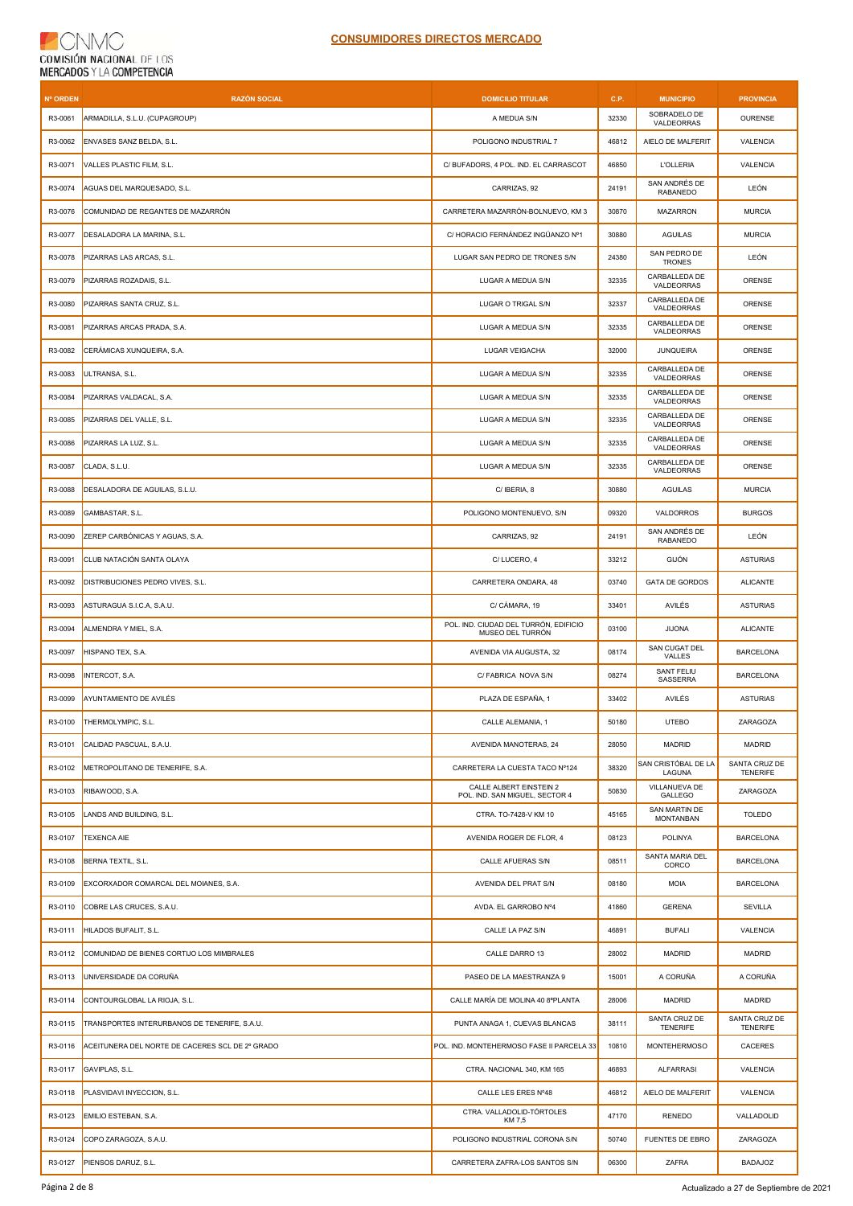## **CNMC** COMISIÓN NACIONAL DE LOS<br>MERCADOS Y LA COMPETENCIA

| <b>Nº ORDEN</b> | <b>RAZÓN SOCIAL</b>                             | <b>DOMICILIO TITULAR</b>                                  | C.P.  | <b>MUNICIPIO</b>                     | <b>PROVINCIA</b>                 |
|-----------------|-------------------------------------------------|-----------------------------------------------------------|-------|--------------------------------------|----------------------------------|
| R3-0061         | ARMADILLA, S.L.U. (CUPAGROUP)                   | A MEDUA S/N                                               | 32330 | SOBRADELO DE<br>VALDEORRAS           | <b>OURENSE</b>                   |
| R3-0062         | ENVASES SANZ BELDA, S.L.                        | POLIGONO INDUSTRIAL 7                                     | 46812 | AIELO DE MALFERIT                    | <b>VALENCIA</b>                  |
| R3-0071         | VALLES PLASTIC FILM, S.L.                       | C/ BUFADORS, 4 POL. IND. EL CARRASCOT                     | 46850 | <b>L'OLLERIA</b>                     | VALENCIA                         |
| R3-0074         | AGUAS DEL MARQUESADO, S.L.                      | CARRIZAS, 92                                              | 24191 | SAN ANDRÉS DE<br>RABANEDO            | LEÓN                             |
| R3-0076         | COMUNIDAD DE REGANTES DE MAZARRÓN               | CARRETERA MAZARRÓN-BOLNUEVO, KM 3                         | 30870 | MAZARRON                             | <b>MURCIA</b>                    |
| R3-0077         | DESALADORA LA MARINA, S.L.                      | C/ HORACIO FERNÁNDEZ INGÜANZO Nº1                         | 30880 | <b>AGUILAS</b>                       | <b>MURCIA</b>                    |
| R3-0078         | PIZARRAS LAS ARCAS, S.L.                        | LUGAR SAN PEDRO DE TRONES S/N                             | 24380 | SAN PEDRO DE<br><b>TRONES</b>        | LEÓN                             |
| R3-0079         | PIZARRAS ROZADAIS, S.L.                         | LUGAR A MEDUA S/N                                         | 32335 | CARBALLEDA DE<br>VALDEORRAS          | ORENSE                           |
| R3-0080         | PIZARRAS SANTA CRUZ, S.L.                       | LUGAR O TRIGAL S/N                                        | 32337 | CARBALLEDA DE<br>VALDEORRAS          | ORENSE                           |
| R3-0081         | PIZARRAS ARCAS PRADA, S.A.                      | LUGAR A MEDUA S/N                                         | 32335 | CARBALLEDA DE<br>VALDEORRAS          | ORENSE                           |
| R3-0082         | CERÁMICAS XUNQUEIRA, S.A.                       | LUGAR VEIGACHA                                            | 32000 | <b>JUNQUEIRA</b>                     | ORENSE                           |
| R3-0083         | ULTRANSA, S.L.                                  | LUGAR A MEDUA S/N                                         | 32335 | CARBALLEDA DE<br>VALDEORRAS          | ORENSE                           |
| R3-0084         | PIZARRAS VALDACAL, S.A.                         | LUGAR A MEDUA S/N                                         | 32335 | CARBALLEDA DE<br>VALDEORRAS          | ORENSE                           |
| R3-0085         | PIZARRAS DEL VALLE, S.L.                        | LUGAR A MEDUA S/N                                         | 32335 | CARBALLEDA DE<br>VALDEORRAS          | ORENSE                           |
| R3-0086         | PIZARRAS LA LUZ, S.L.                           | LUGAR A MEDUA S/N                                         | 32335 | CARBALLEDA DE<br>VALDEORRAS          | ORENSE                           |
| R3-0087         | CLADA, S.L.U.                                   | LUGAR A MEDUA S/N                                         | 32335 | CARBALLEDA DE<br>VALDEORRAS          | ORENSE                           |
| R3-0088         | DESALADORA DE AGUILAS, S.L.U.                   | C/ IBERIA, 8                                              | 30880 | <b>AGUILAS</b>                       | <b>MURCIA</b>                    |
| R3-0089         | GAMBASTAR, S.L.                                 | POLIGONO MONTENUEVO, S/N                                  | 09320 | VALDORROS                            | <b>BURGOS</b>                    |
| R3-0090         | ZEREP CARBÓNICAS Y AGUAS, S.A.                  | CARRIZAS, 92                                              | 24191 | SAN ANDRÉS DE<br>RABANEDO            | LEÓN                             |
| R3-0091         | CLUB NATACIÓN SANTA OLAYA                       | C/LUCERO, 4                                               | 33212 | <b>GIJÓN</b>                         | <b>ASTURIAS</b>                  |
| R3-0092         | DISTRIBUCIONES PEDRO VIVES, S.L.                | CARRETERA ONDARA, 48                                      | 03740 | <b>GATA DE GORDOS</b>                | <b>ALICANTE</b>                  |
| R3-0093         | ASTURAGUA S.I.C.A, S.A.U.                       | C/ CÁMARA, 19                                             | 33401 | AVILÉS                               | <b>ASTURIAS</b>                  |
| R3-0094         | ALMENDRA Y MIEL, S.A.                           | POL. IND. CIUDAD DEL TURRÓN, EDIFICIO<br>MUSEO DEL TURRÓN | 03100 | <b>JIJONA</b>                        | <b>ALICANTE</b>                  |
| R3-0097         | HISPANO TEX, S.A.                               | AVENIDA VIA AUGUSTA, 32                                   | 08174 | SAN CUGAT DEL<br>VALLES              | <b>BARCELONA</b>                 |
| R3-0098         | INTERCOT, S.A.                                  | C/ FABRICA NOVA S/N                                       | 08274 | SANT FELIU<br>SASSERRA               | <b>BARCELONA</b>                 |
| R3-0099         | AYUNTAMIENTO DE AVILÉS                          | PLAZA DE ESPAÑA. 1                                        | 33402 | AVILÉS                               | <b>ASTURIAS</b>                  |
| R3-0100         | THERMOLYMPIC, S.L.                              | CALLE ALEMANIA, 1                                         | 50180 | <b>UTEBO</b>                         | ZARAGOZA                         |
| R3-0101         | CALIDAD PASCUAL, S.A.U.                         | AVENIDA MANOTERAS, 24                                     | 28050 | <b>MADRID</b>                        | <b>MADRID</b>                    |
| R3-0102         | METROPOLITANO DE TENERIFE, S.A.                 | CARRETERA LA CUESTA TACO Nº124                            | 38320 | SAN CRISTÓBAL DE LA<br><b>LAGUNA</b> | SANTA CRUZ DE<br><b>TENERIFE</b> |
| R3-0103         | RIBAWOOD, S.A.                                  | CALLE ALBERT EINSTEIN 2<br>POL. IND. SAN MIGUEL, SECTOR 4 | 50830 | VILLANUEVA DE<br><b>GALLEGO</b>      | ZARAGOZA                         |
| R3-0105         | LANDS AND BUILDING, S.L.                        | CTRA. TO-7428-V KM 10                                     | 45165 | SAN MARTIN DE<br><b>MONTANBAN</b>    | <b>TOLEDO</b>                    |
| R3-0107         | <b>TEXENCA AIE</b>                              | AVENIDA ROGER DE FLOR, 4                                  | 08123 | <b>POLINYA</b>                       | <b>BARCELONA</b>                 |
| R3-0108         | BERNA TEXTIL, S.L.                              | CALLE AFUERAS S/N                                         | 08511 | SANTA MARIA DEL<br>CORCO             | <b>BARCELONA</b>                 |
| R3-0109         | EXCORXADOR COMARCAL DEL MOIANES, S.A.           | AVENIDA DEL PRAT S/N                                      | 08180 | <b>MOIA</b>                          | <b>BARCELONA</b>                 |
| R3-0110         | COBRE LAS CRUCES, S.A.U.                        | AVDA. EL GARROBO Nº4                                      | 41860 | <b>GERENA</b>                        | <b>SEVILLA</b>                   |
| R3-0111         | HILADOS BUFALIT, S.L.                           | CALLE LA PAZ S/N                                          | 46891 | <b>BUFALI</b>                        | VALENCIA                         |
| R3-0112         | COMUNIDAD DE BIENES CORTIJO LOS MIMBRALES       | CALLE DARRO 13                                            | 28002 | <b>MADRID</b>                        | <b>MADRID</b>                    |
| R3-0113         | UNIVERSIDADE DA CORUÑA                          | PASEO DE LA MAESTRANZA 9                                  | 15001 | A CORUÑA                             | A CORUÑA                         |
| R3-0114         | CONTOURGLOBAL LA RIOJA, S.L.                    | CALLE MARÍA DE MOLINA 40 8ªPLANTA                         | 28006 | <b>MADRID</b>                        | MADRID                           |
| R3-0115         | TRANSPORTES INTERURBANOS DE TENERIFE, S.A.U.    | PUNTA ANAGA 1, CUEVAS BLANCAS                             | 38111 | SANTA CRUZ DE<br><b>TENERIFE</b>     | SANTA CRUZ DE<br><b>TENERIFE</b> |
| R3-0116         | ACEITUNERA DEL NORTE DE CACERES SCL DE 2º GRADO | POL. IND. MONTEHERMOSO FASE II PARCELA 33                 | 10810 | <b>MONTEHERMOSO</b>                  | CACERES                          |
| R3-0117         | GAVIPLAS, S.L.                                  | CTRA. NACIONAL 340, KM 165                                | 46893 | <b>ALFARRASI</b>                     | <b>VALENCIA</b>                  |
| R3-0118         | PLASVIDAVI INYECCION, S.L.                      | CALLE LES ERES Nº48                                       | 46812 | AIELO DE MALFERIT                    | VALENCIA                         |
| R3-0123         | EMILIO ESTEBAN, S.A.                            | CTRA. VALLADOLID-TÓRTOLES<br>KM 7,5                       | 47170 | RENEDO                               | VALLADOLID                       |
| R3-0124         | COPO ZARAGOZA, S.A.U.                           | POLIGONO INDUSTRIAL CORONA S/N                            | 50740 | FUENTES DE EBRO                      | ZARAGOZA                         |
| R3-0127         | PIENSOS DARUZ, S.L.                             | CARRETERA ZAFRA-LOS SANTOS S/N                            | 06300 | ZAFRA                                | <b>BADAJOZ</b>                   |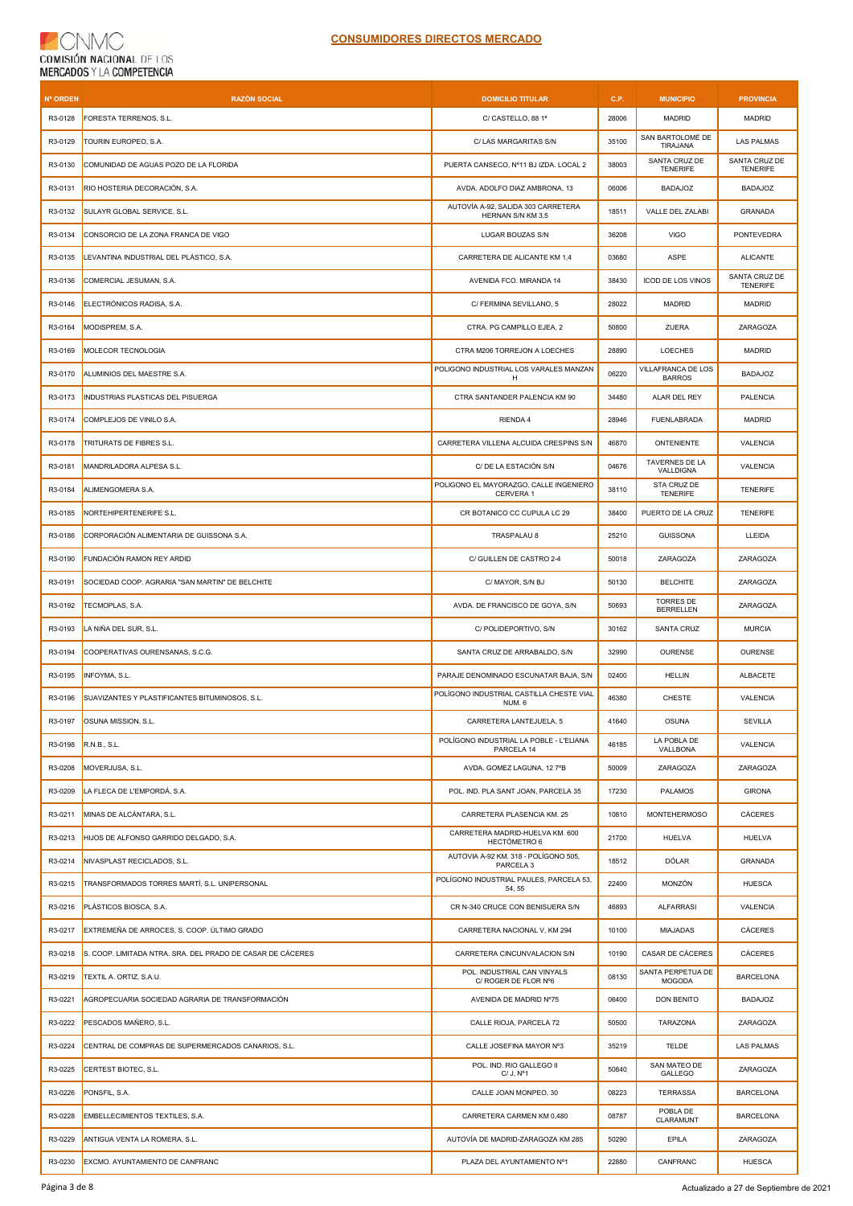## CNMC  $\left($ COMISIÓN NACIONAL DE LOS

| Nº ORDEN | <b>RAZÓN SOCIAL</b>                                        | <b>DOMICILIO TITULAR</b>                                | C.P.  | <b>MUNICIPIO</b>                     | <b>PROVINCIA</b>                 |
|----------|------------------------------------------------------------|---------------------------------------------------------|-------|--------------------------------------|----------------------------------|
| R3-0128  | FORESTA TERRENOS, S.L.                                     | C/ CASTELLO, 88 1ª                                      | 28006 | <b>MADRID</b>                        | <b>MADRID</b>                    |
| R3-0129  | TOURIN EUROPEO, S.A.                                       | C/ LAS MARGARITAS S/N                                   | 35100 | SAN BARTOLOMÉ DE<br>TIRAJANA         | <b>LAS PALMAS</b>                |
| R3-0130  | COMUNIDAD DE AGUAS POZO DE LA FLORIDA                      | PUERTA CANSECO, Nº11 BJ IZDA. LOCAL 2                   | 38003 | SANTA CRUZ DE<br><b>TENERIFE</b>     | SANTA CRUZ DE<br><b>TENERIFE</b> |
| R3-0131  | RIO HOSTERIA DECORACIÓN, S.A.                              | AVDA. ADOLFO DIAZ AMBRONA, 13                           | 06006 | <b>BADAJOZ</b>                       | <b>BADAJOZ</b>                   |
| R3-0132  | SULAYR GLOBAL SERVICE, S.L.                                | AUTOVÍA A-92, SALIDA 303 CARRETERA<br>HERNAN S/N KM 3,5 | 18511 | VALLE DEL ZALABI                     | <b>GRANADA</b>                   |
| R3-0134  | CONSORCIO DE LA ZONA FRANCA DE VIGO                        | LUGAR BOUZAS S/N                                        | 36208 | <b>VIGO</b>                          | <b>PONTEVEDRA</b>                |
| R3-0135  | LEVANTINA INDUSTRIAL DEL PLÁSTICO, S.A.                    | CARRETERA DE ALICANTE KM 1,4                            | 03680 | ASPE                                 | <b>ALICANTE</b>                  |
| R3-0136  | COMERCIAL JESUMAN, S.A.                                    | AVENIDA FCO. MIRANDA 14                                 | 38430 | ICOD DE LOS VINOS                    | SANTA CRUZ DE<br><b>TENERIFE</b> |
| R3-0146  | ELECTRÓNICOS RADISA, S.A.                                  | C/ FERMINA SEVILLANO, 5                                 | 28022 | <b>MADRID</b>                        | MADRID                           |
| R3-0164  | MODISPREM, S.A.                                            | CTRA. PG CAMPILLO EJEA, 2                               | 50800 | ZUERA                                | ZARAGOZA                         |
| R3-0169  | MOLECOR TECNOLOGIA                                         | CTRA M206 TORREJON A LOECHES                            | 28890 | LOECHES                              | <b>MADRID</b>                    |
| R3-0170  | ALUMINIOS DEL MAESTRE S.A.                                 | POLIGONO INDUSTRIAL LOS VARALES MANZAN<br>H             | 06220 | VILLAFRANCA DE LOS<br><b>BARROS</b>  | <b>BADAJOZ</b>                   |
| R3-0173  | INDUSTRIAS PLASTICAS DEL PISUERGA                          | CTRA SANTANDER PALENCIA KM 90                           | 34480 | ALAR DEL REY                         | PALENCIA                         |
| R3-0174  | COMPLEJOS DE VINILO S.A.                                   | RIENDA 4                                                | 28946 | FUENLABRADA                          | MADRID                           |
| R3-0178  | TRITURATS DE FIBRES S.L.                                   | CARRETERA VILLENA ALCUIDA CRESPINS S/N                  | 46870 | <b>ONTENIENTE</b>                    | VALENCIA                         |
| R3-0181  | MANDRILADORA ALPESA S.L.                                   | C/ DE LA ESTACIÓN S/N                                   | 04676 | TAVERNES DE LA<br><b>VALLDIGNA</b>   | VALENCIA                         |
| R3-0184  | ALIMENGOMERA S.A.                                          | POLIGONO EL MAYORAZGO, CALLE INGENIERO<br>CERVERA 1     | 38110 | STA CRUZ DE<br><b>TENERIFE</b>       | <b>TENERIFE</b>                  |
| R3-0185  | NORTEHIPERTENERIFE S.L.                                    | CR BOTANICO CC CUPULA LC 29                             | 38400 | PUERTO DE LA CRUZ                    | <b>TENERIFE</b>                  |
| R3-0186  | CORPORACIÓN ALIMENTARIA DE GUISSONA S.A.                   | TRASPALAU 8                                             | 25210 | <b>GUISSONA</b>                      | LLEIDA                           |
| R3-0190  | FUNDACIÓN RAMON REY ARDID                                  | C/ GUILLEN DE CASTRO 2-4                                | 50018 | ZARAGOZA                             | ZARAGOZA                         |
| R3-0191  | SOCIEDAD COOP. AGRARIA "SAN MARTIN" DE BELCHITE            | C/ MAYOR, S/N BJ                                        | 50130 | <b>BELCHITE</b>                      | ZARAGOZA                         |
| R3-0192  | TECMOPLAS, S.A.                                            | AVDA. DE FRANCISCO DE GOYA, S/N                         | 50693 | <b>TORRES DE</b><br><b>BERRELLEN</b> | ZARAGOZA                         |
| R3-0193  | LA NIÑA DEL SUR, S.L.                                      | C/ POLIDEPORTIVO, S/N                                   | 30162 | SANTA CRUZ                           | <b>MURCIA</b>                    |
| R3-0194  | COOPERATIVAS OURENSANAS, S.C.G.                            | SANTA CRUZ DE ARRABALDO, S/N                            | 32990 | <b>OURENSE</b>                       | <b>OURENSE</b>                   |
| R3-0195  | INFOYMA, S.L.                                              | PARAJE DENOMINADO ESCUNATAR BAJA, S/N                   | 02400 | <b>HELLIN</b>                        | <b>ALBACETE</b>                  |
| R3-0196  | SUAVIZANTES Y PLASTIFICANTES BITUMINOSOS, S.L.             | POLÍGONO INDUSTRIAL CASTILLA CHESTE VIAL<br>NUM. 6      | 46380 | <b>CHESTE</b>                        | VALENCIA                         |
| R3-0197  | <b>OSUNA MISSION, S.L.</b>                                 | CARRETERA LANTEJUELA, 5                                 | 41640 | <b>OSUNA</b>                         | <b>SEVILLA</b>                   |
| R3-0198  | R.N.B., S.L.                                               | POLÍGONO INDUSTRIAL LA POBLE - L'ELIANA<br>PARCELA 14   | 46185 | LA POBLA DE<br>VALLBONA              | VALENCIA                         |
| R3-0208  | MOVERJUSA, S.L.                                            | AVDA. GOMEZ LAGUNA, 127°B                               | 50009 | ZARAGOZA                             | ZARAGOZA                         |
| R3-0209  | LA FLECA DE L'EMPORDÁ, S.A.                                | POL. IND. PLA SANT JOAN, PARCELA 35                     | 17230 | PALAMOS                              | <b>GIRONA</b>                    |
| R3-0211  | MINAS DE ALCÁNTARA, S.L.                                   | CARRETERA PLASENCIA KM. 25                              | 10810 | <b>MONTEHERMOSO</b>                  | CÁCERES                          |
| R3-0213  | HIJOS DE ALFONSO GARRIDO DELGADO, S.A.                     | CARRETERA MADRID-HUELVA KM. 600<br>HECTÓMETRO 6         | 21700 | <b>HUELVA</b>                        | <b>HUELVA</b>                    |
| R3-0214  | NIVASPLAST RECICLADOS, S.L.                                | AUTOVIA A-92 KM. 318 - POLÍGONO 505,<br>PARCELA 3       | 18512 | DÓLAR                                | GRANADA                          |
| R3-0215  | TRANSFORMADOS TORRES MARTÍ, S.L. UNIPERSONAL               | POLÍGONO INDUSTRIAL PAULES, PARCELA 53,<br>54, 55       | 22400 | MONZÓN                               | <b>HUESCA</b>                    |
| R3-0216  | PLÁSTICOS BIOSCA, S.A.                                     | CR N-340 CRUCE CON BENISUERA S/N                        | 46893 | <b>ALFARRASI</b>                     | VALENCIA                         |
| R3-0217  | EXTREMEÑA DE ARROCES, S. COOP. ÚLTIMO GRADO                | CARRETERA NACIONAL V, KM 294                            | 10100 | MIAJADAS                             | <b>CÁCERES</b>                   |
| R3-0218  | S. COOP. LIMITADA NTRA. SRA. DEL PRADO DE CASAR DE CÁCERES | CARRETERA CINCUNVALACION S/N                            | 10190 | CASAR DE CÁCERES                     | CÁCERES                          |
| R3-0219  | TEXTIL A. ORTIZ, S.A.U.                                    | POL. INDUSTRIAL CAN VINYALS<br>C/ ROGER DE FLOR Nº6     | 08130 | SANTA PERPETUA DE<br><b>MOGODA</b>   | <b>BARCELONA</b>                 |
| R3-0221  | AGROPECUARIA SOCIEDAD AGRARIA DE TRANSFORMACIÓN            | AVENIDA DE MADRID Nº75                                  | 06400 | DON BENITO                           | BADAJOZ                          |
| R3-0222  | PESCADOS MAÑERO, S.L.                                      | CALLE RIOJA, PARCELA 72                                 | 50500 | <b>TARAZONA</b>                      | ZARAGOZA                         |
| R3-0224  | CENTRAL DE COMPRAS DE SUPERMERCADOS CANARIOS, S.L.         | CALLE JOSEFINA MAYOR Nº3                                | 35219 | <b>TELDE</b>                         | <b>LAS PALMAS</b>                |
| R3-0225  | CERTEST BIOTEC, S.L.                                       | POL. IND. RIO GALLEGO II<br>C/J, N <sup>o</sup> 1       | 50840 | SAN MATEO DE<br><b>GALLEGO</b>       | ZARAGOZA                         |
| R3-0226  | PONSFIL, S.A.                                              | CALLE JOAN MONPEO, 30                                   | 08223 | <b>TERRASSA</b>                      | <b>BARCELONA</b>                 |
| R3-0228  | EMBELLECIMIENTOS TEXTILES, S.A.                            | CARRETERA CARMEN KM 0,480                               | 08787 | POBLA DE<br>CLARAMUNT                | <b>BARCELONA</b>                 |
| R3-0229  | ANTIGUA VENTA LA ROMERA, S.L.                              | AUTOVÍA DE MADRID-ZARAGOZA KM 285                       | 50290 | EPILA                                | ZARAGOZA                         |
| R3-0230  | EXCMO. AYUNTAMIENTO DE CANFRANC                            | PLAZA DEL AYUNTAMIENTO Nº1                              | 22880 | CANFRANC                             | <b>HUESCA</b>                    |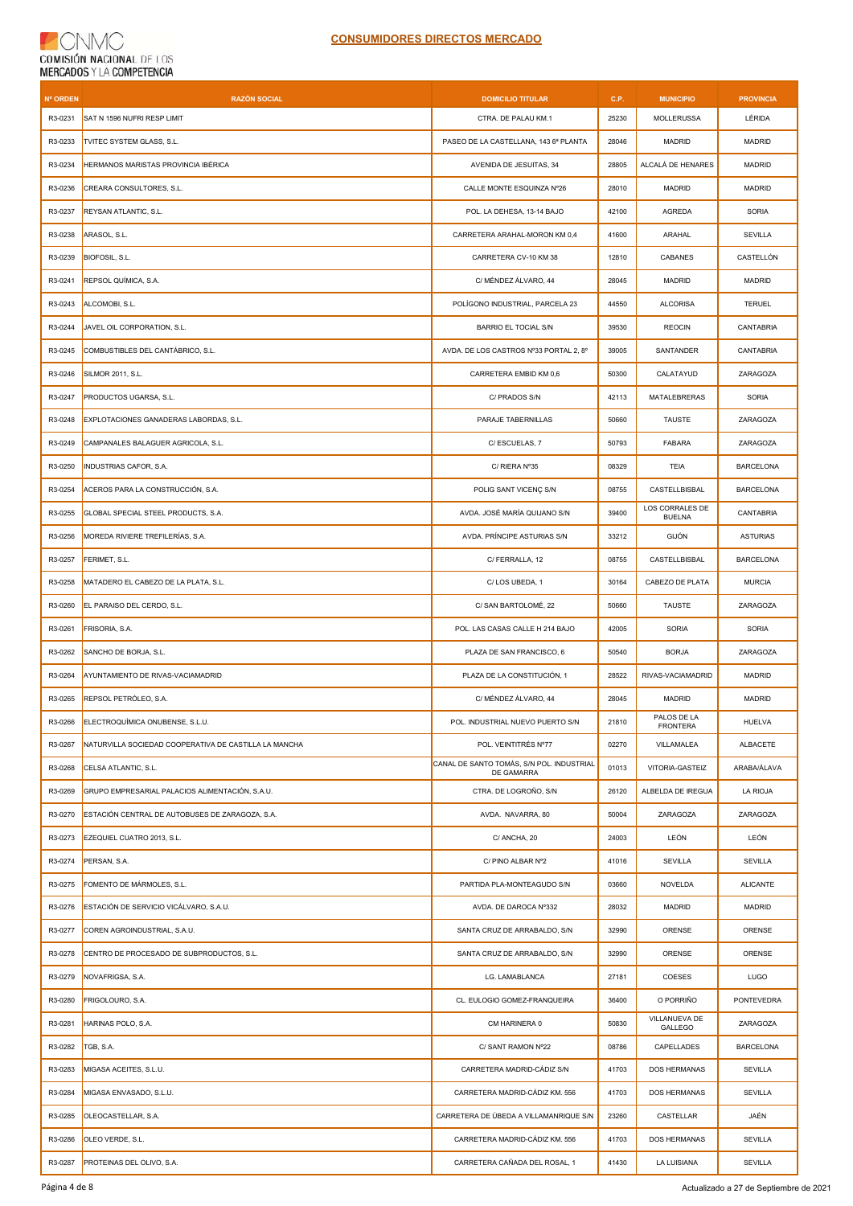## **CNMC** COMISIÓN NACIONAL DE LOS

| Nº ORDEN | <b>RAZÓN SOCIAL</b>                                   | <b>DOMICILIO TITULAR</b>                                | C.P.  | <b>MUNICIPIO</b>                 | <b>PROVINCIA</b> |
|----------|-------------------------------------------------------|---------------------------------------------------------|-------|----------------------------------|------------------|
| R3-0231  | SAT N 1596 NUFRI RESP LIMIT                           | CTRA. DE PALAU KM.1                                     | 25230 | <b>MOLLERUSSA</b>                | LÉRIDA           |
| R3-0233  | TVITEC SYSTEM GLASS, S.L.                             | PASEO DE LA CASTELLANA, 143 6ª PLANTA                   | 28046 | <b>MADRID</b>                    | <b>MADRID</b>    |
| R3-0234  | HERMANOS MARISTAS PROVINCIA IBÉRICA                   | AVENIDA DE JESUITAS, 34                                 | 28805 | ALCALÁ DE HENARES                | MADRID           |
| R3-0236  | CREARA CONSULTORES, S.L.                              | CALLE MONTE ESQUINZA Nº26                               | 28010 | <b>MADRID</b>                    | <b>MADRID</b>    |
| R3-0237  | REYSAN ATLANTIC, S.L.                                 | POL. LA DEHESA, 13-14 BAJO                              | 42100 | AGREDA                           | SORIA            |
| R3-0238  | ARASOL, S.L.                                          | CARRETERA ARAHAL-MORON KM 0,4                           | 41600 | ARAHAL                           | <b>SEVILLA</b>   |
| R3-0239  | BIOFOSIL, S.L.                                        | CARRETERA CV-10 KM 38                                   | 12810 | CABANES                          | CASTELLÓN        |
| R3-0241  | REPSOL QUÍMICA, S.A.                                  | C/ MÉNDEZ ÁLVARO, 44                                    | 28045 | <b>MADRID</b>                    | <b>MADRID</b>    |
| R3-0243  | ALCOMOBI, S.L.                                        | POLÍGONO INDUSTRIAL, PARCELA 23                         | 44550 | <b>ALCORISA</b>                  | <b>TERUEL</b>    |
| R3-0244  | JAVEL OIL CORPORATION, S.L.                           | <b>BARRIO EL TOCIAL S/N</b>                             | 39530 | <b>REOCIN</b>                    | CANTABRIA        |
| R3-0245  | COMBUSTIBLES DEL CANTÁBRICO, S.L.                     | AVDA. DE LOS CASTROS Nº33 PORTAL 2, 8º                  | 39005 | SANTANDER                        | CANTABRIA        |
| R3-0246  | SILMOR 2011, S.L.                                     | CARRETERA EMBID KM 0,6                                  | 50300 | CALATAYUD                        | ZARAGOZA         |
| R3-0247  | PRODUCTOS UGARSA, S.L.                                | C/ PRADOS S/N                                           | 42113 | MATALEBRERAS                     | SORIA            |
| R3-0248  | EXPLOTACIONES GANADERAS LABORDAS, S.L.                | PARAJE TABERNILLAS                                      | 50660 | <b>TAUSTE</b>                    | ZARAGOZA         |
| R3-0249  | CAMPANALES BALAGUER AGRICOLA, S.L.                    | C/ESCUELAS, 7                                           | 50793 | <b>FABARA</b>                    | ZARAGOZA         |
| R3-0250  | INDUSTRIAS CAFOR, S.A.                                | C/ RIERA Nº35                                           | 08329 | TEIA                             | <b>BARCELONA</b> |
| R3-0254  | ACEROS PARA LA CONSTRUCCIÓN, S.A.                     | POLIG SANT VICENC S/N                                   | 08755 | CASTELLBISBAL                    | <b>BARCELONA</b> |
| R3-0255  | GLOBAL SPECIAL STEEL PRODUCTS, S.A.                   | AVDA. JOSÉ MARÍA QUIJANO S/N                            | 39400 | LOS CORRALES DE<br><b>BUELNA</b> | CANTABRIA        |
| R3-0256  | MOREDA RIVIERE TREFILERÍAS, S.A.                      | AVDA. PRÍNCIPE ASTURIAS S/N                             | 33212 | GIJÓN                            | <b>ASTURIAS</b>  |
| R3-0257  | FERIMET, S.L.                                         | C/ FERRALLA, 12                                         | 08755 | CASTELLBISBAL                    | <b>BARCELONA</b> |
| R3-0258  | MATADERO EL CABEZO DE LA PLATA, S.L.                  | C/LOS UBEDA, 1                                          | 30164 | CABEZO DE PLATA                  | <b>MURCIA</b>    |
| R3-0260  | EL PARAISO DEL CERDO, S.L.                            | C/ SAN BARTOLOMÉ, 22                                    | 50660 | <b>TAUSTE</b>                    | ZARAGOZA         |
| R3-0261  | FRISORIA, S.A.                                        | POL. LAS CASAS CALLE H 214 BAJO                         | 42005 | SORIA                            | SORIA            |
| R3-0262  | SANCHO DE BORJA, S.L.                                 | PLAZA DE SAN FRANCISCO, 6                               | 50540 | <b>BORJA</b>                     | ZARAGOZA         |
| R3-0264  | AYUNTAMIENTO DE RIVAS-VACIAMADRID                     | PLAZA DE LA CONSTITUCIÓN, 1                             | 28522 | RIVAS-VACIAMADRID                | <b>MADRID</b>    |
| R3-0265  | REPSOL PETRÓLEO, S.A.                                 | C/ MÉNDEZ ÁLVARO, 44                                    | 28045 | <b>MADRID</b>                    | <b>MADRID</b>    |
| R3-0266  | ELECTROQUÍMICA ONUBENSE, S.L.U.                       | POL. INDUSTRIAL NUEVO PUERTO S/N                        | 21810 | PALOS DE LA<br><b>FRONTERA</b>   | <b>HUELVA</b>    |
| R3-0267  | NATURVILLA SOCIEDAD COOPERATIVA DE CASTILLA LA MANCHA | POL. VEINTITRÉS Nº77                                    | 02270 | VILLAMALEA                       | ALBACETE         |
| R3-0268  | CELSA ATLANTIC, S.L.                                  | CANAL DE SANTO TOMÁS, S/N POL. INDUSTRIAL<br>DE GAMARRA | 01013 | VITORIA-GASTEIZ                  | ARABA/ÁLAVA      |
| R3-0269  | GRUPO EMPRESARIAL PALACIOS ALIMENTACIÓN, S.A.U.       | CTRA. DE LOGROÑO, S/N                                   | 26120 | ALBELDA DE IREGUA                | LA RIOJA         |
| R3-0270  | ESTACIÓN CENTRAL DE AUTOBUSES DE ZARAGOZA, S.A.       | AVDA, NAVARRA, 80                                       | 50004 | ZARAGOZA                         | ZARAGOZA         |
| R3-0273  | EZEQUIEL CUATRO 2013, S.L.                            | C/ ANCHA, 20                                            | 24003 | LEÓN                             | LEÓN             |
| R3-0274  | PERSAN, S.A.                                          | C/ PINO ALBAR Nº2                                       | 41016 | <b>SEVILLA</b>                   | SEVILLA          |
| R3-0275  | FOMENTO DE MÁRMOLES, S.L.                             | PARTIDA PLA-MONTEAGUDO S/N                              | 03660 | NOVELDA                          | <b>ALICANTE</b>  |
| R3-0276  | ESTACIÓN DE SERVICIO VICÁLVARO, S.A.U.                | AVDA. DE DAROCA Nº332                                   | 28032 | <b>MADRID</b>                    | <b>MADRID</b>    |
| R3-0277  | COREN AGROINDUSTRIAL, S.A.U.                          | SANTA CRUZ DE ARRABALDO, S/N                            | 32990 | ORENSE                           | ORENSE           |
| R3-0278  | CENTRO DE PROCESADO DE SUBPRODUCTOS, S.L.             | SANTA CRUZ DE ARRABALDO, S/N                            | 32990 | ORENSE                           | ORENSE           |
| R3-0279  | NOVAFRIGSA, S.A.                                      | LG. LAMABLANCA                                          | 27181 | COESES                           | LUGO             |
| R3-0280  | FRIGOLOURO, S.A.                                      | CL. EULOGIO GOMEZ-FRANQUEIRA                            | 36400 | O PORRIÑO                        | PONTEVEDRA       |
| R3-0281  | HARINAS POLO, S.A.                                    | CM HARINERA 0                                           | 50830 | VILLANUEVA DE<br>GALLEGO         | ZARAGOZA         |
| R3-0282  | TGB, S.A.                                             | C/ SANT RAMON Nº22                                      | 08786 | CAPELLADES                       | <b>BARCELONA</b> |
| R3-0283  | MIGASA ACEITES, S.L.U.                                | CARRETERA MADRID-CÁDIZ S/N                              | 41703 | DOS HERMANAS                     | SEVILLA          |
| R3-0284  | MIGASA ENVASADO, S.L.U.                               | CARRETERA MADRID-CÁDIZ KM. 556                          | 41703 | DOS HERMANAS                     | SEVILLA          |
| R3-0285  | OLEOCASTELLAR, S.A.                                   | CARRETERA DE ÚBEDA A VILLAMANRIQUE S/N                  | 23260 | CASTELLAR                        | JAÉN             |
| R3-0286  | OLEO VERDE, S.L.                                      | CARRETERA MADRID-CÁDIZ KM. 556                          | 41703 | <b>DOS HERMANAS</b>              | <b>SEVILLA</b>   |
| R3-0287  | PROTEINAS DEL OLIVO, S.A.                             | CARRETERA CAÑADA DEL ROSAL, 1                           | 41430 | LA LUISIANA                      | <b>SEVILLA</b>   |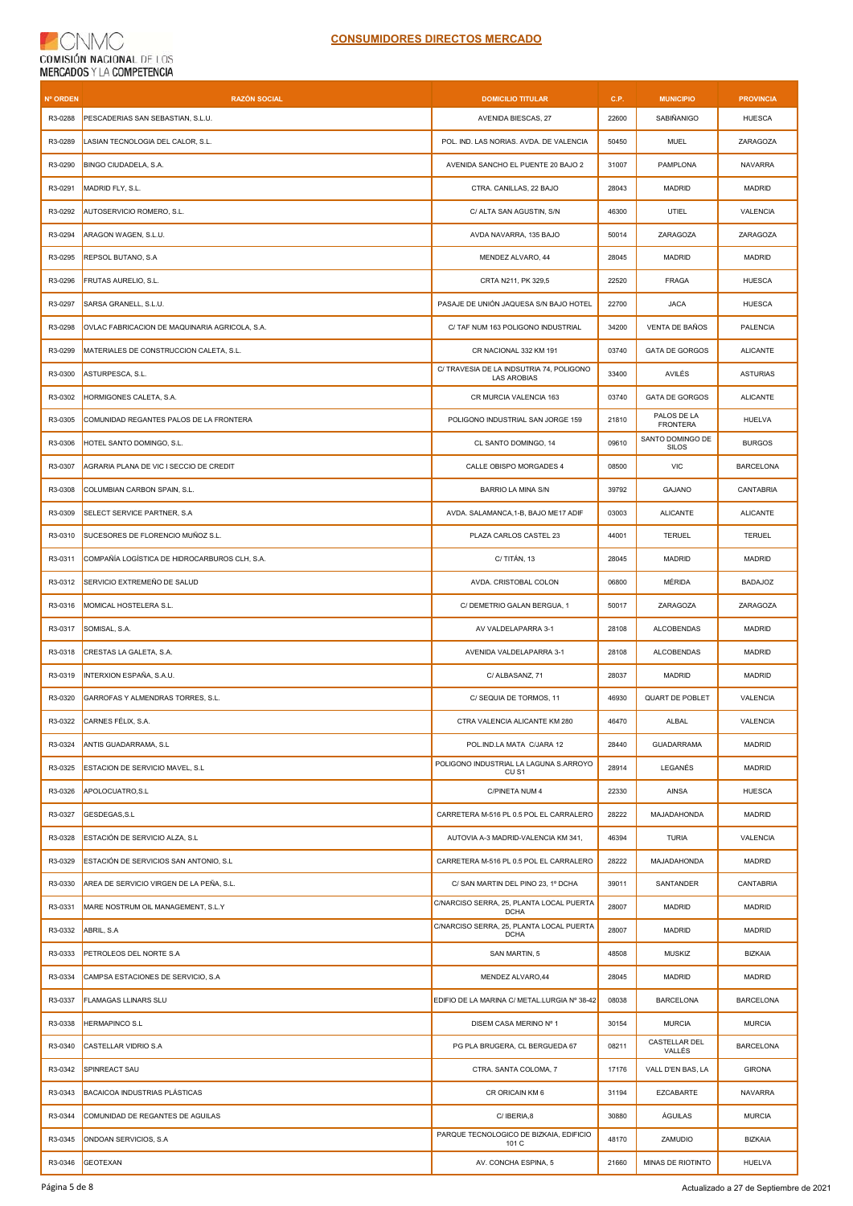## **CNMC** COMISIÓN NACIONAL DE LOS

| <b>Nº ORDEN</b> | <b>RAZÓN SOCIAL</b>                            | <b>DOMICILIO TITULAR</b>                                   | C.P.  | <b>MUNICIPIO</b>                 | <b>PROVINCIA</b> |
|-----------------|------------------------------------------------|------------------------------------------------------------|-------|----------------------------------|------------------|
| R3-0288         | PESCADERIAS SAN SEBASTIAN, S.L.U.              | AVENIDA BIESCAS, 27                                        | 22600 | <b>SABIÑANIGO</b>                | <b>HUESCA</b>    |
| R3-0289         | LASIAN TECNOLOGIA DEL CALOR, S.L.              | POL. IND. LAS NORIAS. AVDA. DE VALENCIA                    | 50450 | <b>MUEL</b>                      | ZARAGOZA         |
| R3-0290         | BINGO CIUDADELA, S.A.                          | AVENIDA SANCHO EL PUENTE 20 BAJO 2                         | 31007 | PAMPLONA                         | <b>NAVARRA</b>   |
| R3-0291         | MADRID FLY, S.L.                               | CTRA. CANILLAS, 22 BAJO                                    | 28043 | <b>MADRID</b>                    | <b>MADRID</b>    |
| R3-0292         | AUTOSERVICIO ROMERO, S.L.                      | C/ ALTA SAN AGUSTIN, S/N                                   | 46300 | UTIEL                            | VALENCIA         |
| R3-0294         | ARAGON WAGEN, S.L.U.                           | AVDA NAVARRA, 135 BAJO                                     | 50014 | ZARAGOZA                         | ZARAGOZA         |
| R3-0295         | REPSOL BUTANO, S.A                             | MENDEZ ALVARO, 44                                          | 28045 | <b>MADRID</b>                    | MADRID           |
| R3-0296         | FRUTAS AURELIO, S.L.                           | CRTA N211, PK 329,5                                        | 22520 | <b>FRAGA</b>                     | <b>HUESCA</b>    |
| R3-0297         | SARSA GRANELL, S.L.U.                          | PASAJE DE UNIÓN JAQUESA S/N BAJO HOTEL                     | 22700 | <b>JACA</b>                      | <b>HUESCA</b>    |
| R3-0298         | OVLAC FABRICACION DE MAQUINARIA AGRICOLA, S.A. | C/ TAF NUM 163 POLIGONO INDUSTRIAL                         | 34200 | VENTA DE BAÑOS                   | PALENCIA         |
| R3-0299         | MATERIALES DE CONSTRUCCION CALETA, S.L.        | CR NACIONAL 332 KM 191                                     | 03740 | <b>GATA DE GORGOS</b>            | <b>ALICANTE</b>  |
| R3-0300         | ASTURPESCA, S.L.                               | C/ TRAVESIA DE LA INDSUTRIA 74, POLIGONO<br>LAS AROBIAS    | 33400 | AVILÉS                           | <b>ASTURIAS</b>  |
| R3-0302         | HORMIGONES CALETA, S.A.                        | CR MURCIA VALENCIA 163                                     | 03740 | <b>GATA DE GORGOS</b>            | <b>ALICANTE</b>  |
| R3-0305         | COMUNIDAD REGANTES PALOS DE LA FRONTERA        | POLIGONO INDUSTRIAL SAN JORGE 159                          | 21810 | PALOS DE LA<br><b>FRONTERA</b>   | <b>HUELVA</b>    |
| R3-0306         | HOTEL SANTO DOMINGO, S.L.                      | CL SANTO DOMINGO, 14                                       | 09610 | SANTO DOMINGO DE<br><b>SILOS</b> | <b>BURGOS</b>    |
| R3-0307         | AGRARIA PLANA DE VIC I SECCIO DE CREDIT        | CALLE OBISPO MORGADES 4                                    | 08500 | <b>VIC</b>                       | <b>BARCELONA</b> |
| R3-0308         | COLUMBIAN CARBON SPAIN, S.L.                   | BARRIO LA MINA S/N                                         | 39792 | GAJANO                           | CANTABRIA        |
| R3-0309         | SELECT SERVICE PARTNER, S.A                    | AVDA. SALAMANCA, 1-B, BAJO ME17 ADIF                       | 03003 | <b>ALICANTE</b>                  | <b>ALICANTE</b>  |
| R3-0310         | SUCESORES DE FLORENCIO MUÑOZ S.L.              | PLAZA CARLOS CASTEL 23                                     | 44001 | <b>TERUEL</b>                    | <b>TERUEL</b>    |
| R3-0311         | COMPAÑÍA LOGÍSTICA DE HIDROCARBUROS CLH, S.A.  | C/TITÁN, 13                                                | 28045 | <b>MADRID</b>                    | <b>MADRID</b>    |
| R3-0312         | SERVICIO EXTREMEÑO DE SALUD                    | AVDA. CRISTOBAL COLON                                      | 06800 | MÉRIDA                           | <b>BADAJOZ</b>   |
| R3-0316         | MOMICAL HOSTELERA S.L.                         | C/ DEMETRIO GALAN BERGUA, 1                                | 50017 | ZARAGOZA                         | ZARAGOZA         |
| R3-0317         | SOMISAL, S.A.                                  | AV VALDELAPARRA 3-1                                        | 28108 | <b>ALCOBENDAS</b>                | MADRID           |
| R3-0318         | CRESTAS LA GALETA, S.A.                        | AVENIDA VALDELAPARRA 3-1                                   | 28108 | <b>ALCOBENDAS</b>                | <b>MADRID</b>    |
| R3-0319         | INTERXION ESPAÑA, S.A.U.                       | C/ ALBASANZ, 71                                            | 28037 | <b>MADRID</b>                    | MADRID           |
| R3-0320         | GARROFAS Y ALMENDRAS TORRES, S.L.              | C/ SEQUIA DE TORMOS, 11                                    | 46930 | QUART DE POBLET                  | VALENCIA         |
| R3-0322         | CARNES FÉLIX, S.A.                             | CTRA VALENCIA ALICANTE KM 280                              | 46470 | ALBAL                            | VALENCIA         |
| R3-0324         | ANTIS GUADARRAMA, S.L.                         | POL.IND.LA MATA C/JARA 12                                  | 28440 | <b>GUADARRAMA</b>                | MADRID           |
| R3-0325         | ESTACION DE SERVICIO MAVEL, S.L.               | POLIGONO INDUSTRIAL LA LAGUNA S.ARROYO<br>CU <sub>S1</sub> | 28914 | LEGANÉS                          | <b>MADRID</b>    |
| R3-0326         | APOLOCUATRO, S.L                               | C/PINETA NUM 4                                             | 22330 | <b>AINSA</b>                     | <b>HUESCA</b>    |
| R3-0327         | GESDEGAS, S.L.                                 | CARRETERA M-516 PL 0.5 POL EL CARRALERO                    | 28222 | MAJADAHONDA                      | <b>MADRID</b>    |
| R3-0328         | ESTACIÓN DE SERVICIO ALZA, S.L                 | AUTOVIA A-3 MADRID-VALENCIA KM 341,                        | 46394 | <b>TURIA</b>                     | VALENCIA         |
| R3-0329         | ESTACIÓN DE SERVICIOS SAN ANTONIO, S.L         | CARRETERA M-516 PL 0.5 POL EL CARRALERO                    | 28222 | MAJADAHONDA                      | MADRID           |
| R3-0330         | AREA DE SERVICIO VIRGEN DE LA PEÑA, S.L.       | C/ SAN MARTIN DEL PINO 23, 1º DCHA                         | 39011 | SANTANDER                        | CANTABRIA        |
| R3-0331         | MARE NOSTRUM OIL MANAGEMENT, S.L.Y             | C/NARCISO SERRA, 25, PLANTA LOCAL PUERTA<br><b>DCHA</b>    | 28007 | <b>MADRID</b>                    | <b>MADRID</b>    |
| R3-0332         | ABRIL, S.A                                     | C/NARCISO SERRA, 25, PLANTA LOCAL PUERTA<br><b>DCHA</b>    | 28007 | <b>MADRID</b>                    | <b>MADRID</b>    |
| R3-0333         | PETROLEOS DEL NORTE S.A                        | SAN MARTIN, 5                                              | 48508 | <b>MUSKIZ</b>                    | <b>BIZKAIA</b>   |
| R3-0334         | CAMPSA ESTACIONES DE SERVICIO, S.A.            | MENDEZ ALVARO, 44                                          | 28045 | MADRID                           | MADRID           |
| R3-0337         | <b>FLAMAGAS LLINARS SLU</b>                    | EDIFIO DE LA MARINA C/ METAL.LURGIA Nº 38-42               | 08038 | <b>BARCELONA</b>                 | <b>BARCELONA</b> |
| R3-0338         | HERMAPINCO S.L                                 | DISEM CASA MERINO Nº 1                                     | 30154 | <b>MURCIA</b>                    | <b>MURCIA</b>    |
| R3-0340         | CASTELLAR VIDRIO S.A                           | PG PLA BRUGERA, CL BERGUEDA 67                             | 08211 | CASTELLAR DEL<br>VALLÉS          | <b>BARCELONA</b> |
| R3-0342         | SPINREACT SAU                                  | CTRA. SANTA COLOMA, 7                                      | 17176 | VALL D'EN BAS, LA                | <b>GIRONA</b>    |
| R3-0343         | BACAICOA INDUSTRIAS PLÁSTICAS                  | CR ORICAIN KM 6                                            | 31194 | EZCABARTE                        | <b>NAVARRA</b>   |
| R3-0344         | COMUNIDAD DE REGANTES DE AGUILAS               | C/IBERIA,8                                                 | 30880 | ÁGUILAS                          | <b>MURCIA</b>    |
| R3-0345         | ONDOAN SERVICIOS, S.A.                         | PARQUE TECNOLOGICO DE BIZKAIA, EDIFICIO<br>101 C           | 48170 | ZAMUDIO                          | <b>BIZKAIA</b>   |
| R3-0346         | <b>GEOTEXAN</b>                                | AV. CONCHA ESPINA, 5                                       | 21660 | MINAS DE RIOTINTO                | HUELVA           |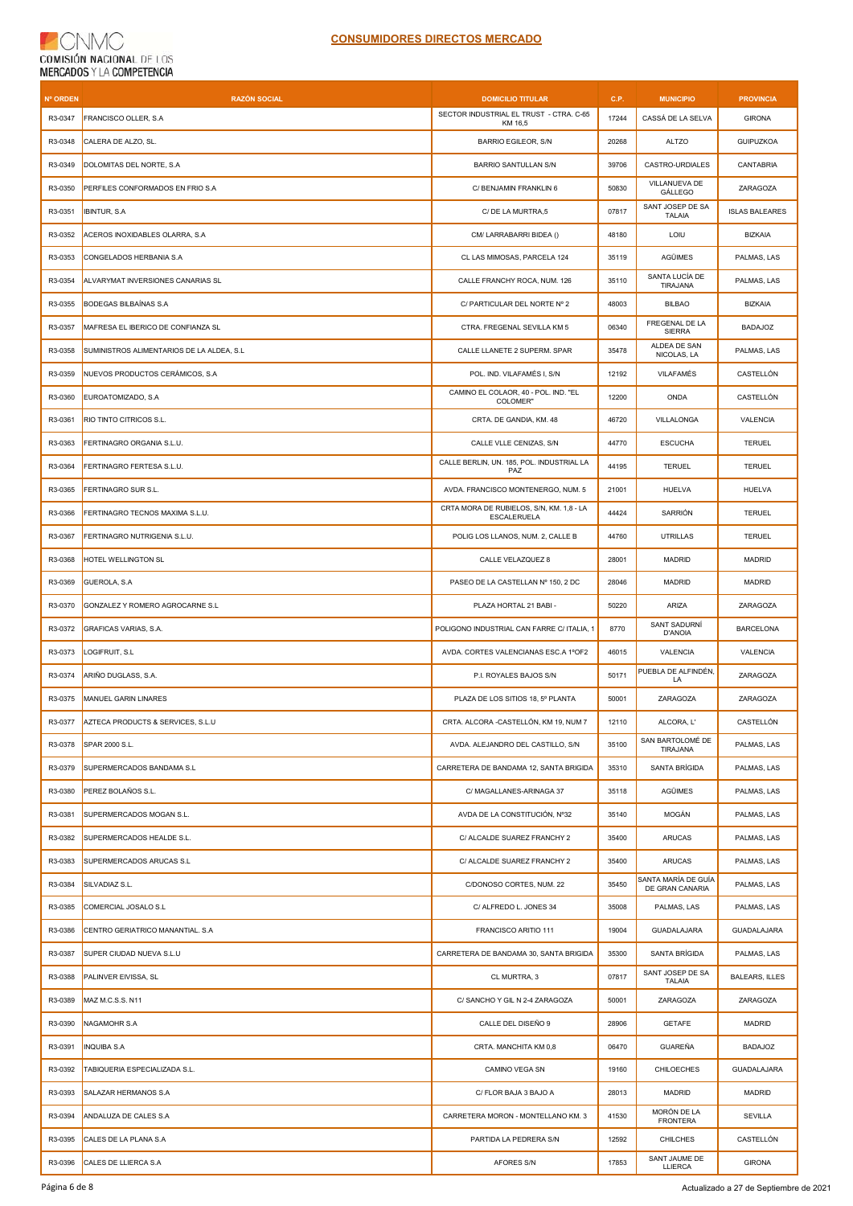## CNMC  $\left($ COMISIÓN NACIONAL DE LOS

| <b>Nº ORDEN</b> | <b>RAZÓN SOCIAL</b>                        | <b>DOMICILIO TITULAR</b>                                | C.P.  | <b>MUNICIPIO</b>                       | <b>PROVINCIA</b>      |
|-----------------|--------------------------------------------|---------------------------------------------------------|-------|----------------------------------------|-----------------------|
| R3-0347         | FRANCISCO OLLER, S.A                       | SECTOR INDUSTRIAL EL TRUST - CTRA. C-65<br>KM 16,5      | 17244 | CASSÁ DE LA SELVA                      | <b>GIRONA</b>         |
| R3-0348         | CALERA DE ALZO, SL.                        | <b>BARRIO EGILEOR, S/N</b>                              | 20268 | <b>ALTZO</b>                           | <b>GUIPUZKOA</b>      |
| R3-0349         | DOLOMITAS DEL NORTE, S.A                   | <b>BARRIO SANTULLAN S/N</b>                             | 39706 | CASTRO-URDIALES                        | CANTABRIA             |
| R3-0350         | PERFILES CONFORMADOS EN FRIO S.A           | C/ BENJAMIN FRANKLIN 6                                  | 50830 | VILLANUEVA DE<br>GÁLLEGO               | ZARAGOZA              |
| R3-0351         | <b>IBINTUR, S.A</b>                        | C/ DE LA MURTRA,5                                       | 07817 | SANT JOSEP DE SA<br><b>TALAIA</b>      | <b>ISLAS BALEARES</b> |
| R3-0352         | ACEROS INOXIDABLES OLARRA, S.A.            | CM/ LARRABARRI BIDEA ()                                 | 48180 | LOIU                                   | <b>BIZKAIA</b>        |
| R3-0353         | CONGELADOS HERBANIA S.A                    | CL LAS MIMOSAS, PARCELA 124                             | 35119 | AGÜIMES                                | PALMAS, LAS           |
| R3-0354         | ALVARYMAT INVERSIONES CANARIAS SL          | CALLE FRANCHY ROCA, NUM. 126                            | 35110 | SANTA LUCÍA DE<br>TIRAJANA             | PALMAS, LAS           |
| R3-0355         | <b>BODEGAS BILBAÍNAS S.A</b>               | C/ PARTICULAR DEL NORTE Nº 2                            | 48003 | <b>BILBAO</b>                          | <b>BIZKAIA</b>        |
| R3-0357         | MAFRESA EL IBERICO DE CONFIANZA SL         | CTRA. FREGENAL SEVILLA KM 5                             | 06340 | FREGENAL DE LA<br><b>SIERRA</b>        | <b>BADAJOZ</b>        |
| R3-0358         | SUMINISTROS ALIMENTARIOS DE LA ALDEA, S.L. | CALLE LLANETE 2 SUPERM. SPAR                            | 35478 | ALDEA DE SAN<br>NICOLAS, LA            | PALMAS, LAS           |
| R3-0359         | NUEVOS PRODUCTOS CERÁMICOS, S.A.           | POL. IND. VILAFAMÉS I, S/N                              | 12192 | VILAFAMÉS                              | CASTELLÓN             |
| R3-0360         | EUROATOMIZADO, S.A                         | CAMINO EL COLAOR, 40 - POL. IND. "EL<br>COLOMER"        | 12200 | ONDA                                   | CASTELLÓN             |
| R3-0361         | RIO TINTO CITRICOS S.L.                    | CRTA. DE GANDIA, KM. 48                                 | 46720 | VILLALONGA                             | VALENCIA              |
| R3-0363         | FERTINAGRO ORGANIA S.L.U.                  | CALLE VLLE CENIZAS, S/N                                 | 44770 | <b>ESCUCHA</b>                         | <b>TERUEL</b>         |
| R3-0364         | FERTINAGRO FERTESA S.L.U.                  | CALLE BERLIN, UN. 185, POL. INDUSTRIAL LA<br>PAZ        | 44195 | <b>TERUEL</b>                          | <b>TERUEL</b>         |
| R3-0365         | FERTINAGRO SUR S.L.                        | AVDA. FRANCISCO MONTENERGO, NUM. 5                      | 21001 | HUELVA                                 | HUELVA                |
| R3-0366         | FERTINAGRO TECNOS MAXIMA S.L.U.            | CRTA MORA DE RUBIELOS, S/N, KM. 1,8 - LA<br>ESCALERUELA | 44424 | SARRIÓN                                | <b>TERUEL</b>         |
| R3-0367         | FERTINAGRO NUTRIGENIA S.L.U.               | POLIG LOS LLANOS, NUM. 2, CALLE B                       | 44760 | <b>UTRILLAS</b>                        | <b>TERUEL</b>         |
| R3-0368         | HOTEL WELLINGTON SL                        | CALLE VELAZQUEZ 8                                       | 28001 | <b>MADRID</b>                          | <b>MADRID</b>         |
| R3-0369         | GUEROLA, S.A.                              | PASEO DE LA CASTELLAN Nº 150, 2 DC                      | 28046 | <b>MADRID</b>                          | <b>MADRID</b>         |
| R3-0370         | GONZALEZ Y ROMERO AGROCARNE S.L            | PLAZA HORTAL 21 BABI -                                  | 50220 | ARIZA                                  | ZARAGOZA              |
| R3-0372         | GRAFICAS VARIAS, S.A.                      | POLIGONO INDUSTRIAL CAN FARRE C/ ITALIA, 1              | 8770  | SANT SADURNÍ<br>D'ANOIA                | <b>BARCELONA</b>      |
| R3-0373         | LOGIFRUIT, S.L                             | AVDA. CORTES VALENCIANAS ESC.A 1ºOF2                    | 46015 | VALENCIA                               | VALENCIA              |
| R3-0374         | ARIÑO DUGLASS, S.A.                        | P.I. ROYALES BAJOS S/N                                  | 50171 | PUEBLA DE ALFINDÉN.<br>LA              | ZARAGOZA              |
| R3-0375         | MANUEL GARIN LINARES                       | PLAZA DE LOS SITIOS 18, 5° PLANTA                       | 50001 | <b>ZARAGOZA</b>                        | ZARAGOZA              |
| R3-0377         | AZTECA PRODUCTS & SERVICES, S.L.U          | CRTA. ALCORA -CASTELLON, KM 19, NUM 7                   | 12110 | ALCORA, L'                             | CASTELLON             |
| R3-0378         | SPAR 2000 S.L.                             | AVDA. ALEJANDRO DEL CASTILLO, S/N                       | 35100 | SAN BARTOLOMÉ DE<br>TIRAJANA           | PALMAS, LAS           |
| R3-0379         | SUPERMERCADOS BANDAMA S.L                  | CARRETERA DE BANDAMA 12, SANTA BRIGIDA                  | 35310 | SANTA BRÍGIDA                          | PALMAS, LAS           |
| R3-0380         | PEREZ BOLAÑOS S.L.                         | C/ MAGALLANES-ARINAGA 37                                | 35118 | AGÜIMES                                | PALMAS, LAS           |
| R3-0381         | SUPERMERCADOS MOGAN S.L.                   | AVDA DE LA CONSTITUCIÓN, Nº32                           | 35140 | MOGÁN                                  | PALMAS, LAS           |
| R3-0382         | SUPERMERCADOS HEALDE S.L.                  | C/ ALCALDE SUAREZ FRANCHY 2                             | 35400 | <b>ARUCAS</b>                          | PALMAS, LAS           |
| R3-0383         | SUPERMERCADOS ARUCAS S.L                   | C/ ALCALDE SUAREZ FRANCHY 2                             | 35400 | <b>ARUCAS</b>                          | PALMAS, LAS           |
| R3-0384         | SILVADIAZ S.L.                             | C/DONOSO CORTES, NUM. 22                                | 35450 | SANTA MARÍA DE GUÍA<br>DE GRAN CANARIA | PALMAS, LAS           |
| R3-0385         | COMERCIAL JOSALO S.L                       | C/ ALFREDO L. JONES 34                                  | 35008 | PALMAS, LAS                            | PALMAS, LAS           |
| R3-0386         | CENTRO GERIATRICO MANANTIAL. S.A           | FRANCISCO ARITIO 111                                    | 19004 | <b>GUADALAJARA</b>                     | <b>GUADALAJARA</b>    |
| R3-0387         | SUPER CIUDAD NUEVA S.L.U                   | CARRETERA DE BANDAMA 30, SANTA BRIGIDA                  | 35300 | SANTA BRÍGIDA                          | PALMAS, LAS           |
| R3-0388         | PALINVER EIVISSA, SL                       | CL MURTRA, 3                                            | 07817 | SANT JOSEP DE SA<br><b>TALAIA</b>      | <b>BALEARS, ILLES</b> |
| R3-0389         | MAZ M.C.S.S. N11                           | C/ SANCHO Y GIL N 2-4 ZARAGOZA                          | 50001 | ZARAGOZA                               | ZARAGOZA              |
| R3-0390         | NAGAMOHR S.A                               | CALLE DEL DISEÑO 9                                      | 28906 | <b>GETAFE</b>                          | <b>MADRID</b>         |
| R3-0391         | <b>INQUIBA S.A</b>                         | CRTA. MANCHITA KM 0,8                                   | 06470 | <b>GUAREÑA</b>                         | <b>BADAJOZ</b>        |
| R3-0392         | TABIQUERIA ESPECIALIZADA S.L.              | CAMINO VEGA SN                                          | 19160 | CHILOECHES                             | GUADALAJARA           |
| R3-0393         | SALAZAR HERMANOS S.A                       | C/ FLOR BAJA 3 BAJO A                                   | 28013 | MADRID                                 | <b>MADRID</b>         |
| R3-0394         | ANDALUZA DE CALES S.A                      | CARRETERA MORON - MONTELLANO KM. 3                      | 41530 | MORÓN DE LA<br><b>FRONTERA</b>         | SEVILLA               |
| R3-0395         | CALES DE LA PLANA S.A                      | PARTIDA LA PEDRERA S/N                                  | 12592 | <b>CHILCHES</b>                        | CASTELLÓN             |
| R3-0396         | CALES DE LLIERCA S.A                       | AFORES S/N                                              | 17853 | SANT JAUME DE<br>LLIERCA               | <b>GIRONA</b>         |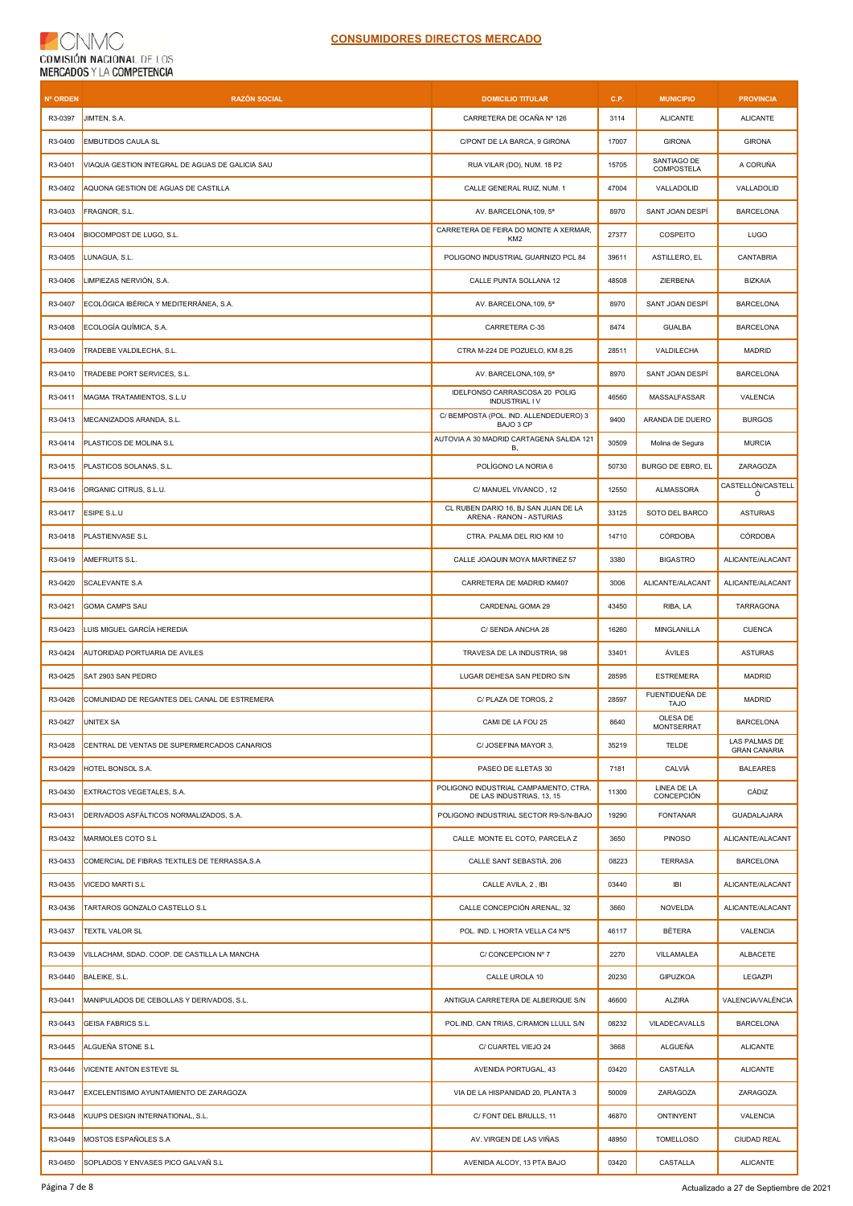## **CNMC** COMISIÓN NACIONAL DE LOS

| <b>Nº ORDEN</b> | <b>RAZÓN SOCIAL</b>                             | <b>DOMICILIO TITULAR</b>                                           | C.P.  | <b>MUNICIPIO</b>                 | <b>PROVINCIA</b>                     |
|-----------------|-------------------------------------------------|--------------------------------------------------------------------|-------|----------------------------------|--------------------------------------|
| R3-0397         | JIMTEN, S.A.                                    | CARRETERA DE OCAÑA Nº 126                                          | 3114  | <b>ALICANTE</b>                  | <b>ALICANTE</b>                      |
| R3-0400         | <b>EMBUTIDOS CAULA SL</b>                       | C/PONT DE LA BARCA, 9 GIRONA                                       | 17007 | <b>GIRONA</b>                    | <b>GIRONA</b>                        |
| R3-0401         | VIAQUA GESTION INTEGRAL DE AGUAS DE GALICIA SAU | RUA VILAR (DO), NUM. 18 P2                                         | 15705 | SANTIAGO DE<br><b>COMPOSTELA</b> | A CORUÑA                             |
| R3-0402         | AQUONA GESTION DE AGUAS DE CASTILLA             | CALLE GENERAL RUIZ, NUM. 1                                         | 47004 | VALLADOLID                       | VALLADOLID                           |
| R3-0403         | FRAGNOR, S.L.                                   | AV. BARCELONA, 109, 5ª                                             | 8970  | SANT JOAN DESPÍ                  | <b>BARCELONA</b>                     |
| R3-0404         | BIOCOMPOST DE LUGO, S.L.                        | CARRETERA DE FEIRA DO MONTE A XERMAR,<br>KM <sub>2</sub>           | 27377 | COSPEITO                         | <b>LUGO</b>                          |
| R3-0405         | LUNAGUA, S.L.                                   | POLIGONO INDUSTRIAL GUARNIZO PCL 84                                | 39611 | ASTILLERO, EL                    | CANTABRIA                            |
| R3-0406         | LIMPIEZAS NERVIÓN, S.A.                         | CALLE PUNTA SOLLANA 12                                             | 48508 | ZIERBENA                         | <b>BIZKAIA</b>                       |
| R3-0407         | ECOLÓGICA IBÉRICA Y MEDITERRÁNEA, S.A.          | AV. BARCELONA, 109, 5ª                                             | 8970  | SANT JOAN DESPÍ                  | <b>BARCELONA</b>                     |
| R3-0408         | ECOLOGÍA QUÍMICA, S.A.                          | CARRETERA C-35                                                     | 8474  | <b>GUALBA</b>                    | <b>BARCELONA</b>                     |
| R3-0409         | TRADEBE VALDILECHA, S.L.                        | CTRA M-224 DE POZUELO, KM 8,25                                     | 28511 | VALDILECHA                       | MADRID                               |
| R3-0410         | TRADEBE PORT SERVICES, S.L.                     | AV. BARCELONA, 109, 5ª                                             | 8970  | SANT JOAN DESPI                  | <b>BARCELONA</b>                     |
| R3-0411         | MAGMA TRATAMIENTOS, S.L.U                       | IDELFONSO CARRASCOSA 20 POLIG<br><b>INDUSTRIAL IV</b>              | 46560 | MASSALFASSAR                     | VALENCIA                             |
| R3-0413         | MECANIZADOS ARANDA, S.L.                        | C/ BEMPOSTA (POL. IND. ALLENDEDUERO) 3<br>BAJO 3 CP                | 9400  | ARANDA DE DUERO                  | <b>BURGOS</b>                        |
| R3-0414         | PLASTICOS DE MOLINA S.L                         | AUTOVIA A 30 MADRID CARTAGENA SALIDA 121<br>В.                     | 30509 | Molina de Segura                 | <b>MURCIA</b>                        |
| R3-0415         | PLASTICOS SOLANAS, S.L.                         | POLÍGONO LA NORIA 6                                                | 50730 | BURGO DE EBRO, EL                | ZARAGOZA                             |
| R3-0416         | ORGANIC CITRUS, S.L.U.                          | C/ MANUEL VIVANCO, 12                                              | 12550 | ALMASSORA                        | CASTELLÓN/CASTELL<br>Ó               |
| R3-0417         | ESIPE S.L.U                                     | CL RUBEN DARIO 16, BJ SAN JUAN DE LA<br>ARENA - RANON - ASTURIAS   | 33125 | SOTO DEL BARCO                   | <b>ASTURIAS</b>                      |
| R3-0418         | PLASTIENVASE S.L                                | CTRA. PALMA DEL RIO KM 10                                          | 14710 | <b>CÓRDOBA</b>                   | <b>CÓRDOBA</b>                       |
| R3-0419         | AMEFRUITS S.L.                                  | CALLE JOAQUIN MOYA MARTINEZ 57                                     | 3380  | <b>BIGASTRO</b>                  | ALICANTE/ALACANT                     |
| R3-0420         | <b>SCALEVANTE S.A</b>                           | CARRETERA DE MADRID KM407                                          | 3006  | ALICANTE/ALACANT                 | ALICANTE/ALACANT                     |
| R3-0421         | <b>GOMA CAMPS SAU</b>                           | CARDENAL GOMA 29                                                   | 43450 | RIBA, LA                         | TARRAGONA                            |
| R3-0423         | LUIS MIGUEL GARCÍA HEREDIA                      | C/ SENDA ANCHA 28                                                  | 16260 | MINGLANILLA                      | <b>CUENCA</b>                        |
| R3-0424         | AUTORIDAD PORTUARIA DE AVILES                   | TRAVESA DE LA INDUSTRIA, 98                                        | 33401 | ÁVILES                           | <b>ASTURAS</b>                       |
| R3-0425         | SAT 2903 SAN PEDRO                              | LUGAR DEHESA SAN PEDRO S/N                                         | 28595 | <b>ESTREMERA</b>                 | <b>MADRID</b>                        |
| R3-0426         | COMUNIDAD DE REGANTES DEL CANAL DE ESTREMERA    | C/ PLAZA DE TOROS. 2                                               | 28597 | FUENTIDUEÑA DE<br><b>TAJO</b>    | <b>MADRID</b>                        |
| R3-0427         | UNITEX SA                                       | CAMI DE LA FOU 25                                                  | 8640  | OLESA DE<br>MONTSERRAT           | <b>BARCELONA</b>                     |
| R3-0428         | CENTRAL DE VENTAS DE SUPERMERCADOS CANARIOS     | C/ JOSEFINA MAYOR 3,                                               | 35219 | <b>TELDE</b>                     | LAS PALMAS DE<br><b>GRAN CANARIA</b> |
| R3-0429         | HOTEL BONSOL S.A.                               | PASEO DE ILLETAS 30                                                | 7181  | CALVIÁ                           | <b>BALEARES</b>                      |
| R3-0430         | EXTRACTOS VEGETALES, S.A.                       | POLIGONO INDUSTRIAL CAMPAMENTO, CTRA.<br>DE LAS INDUSTRIAS, 13, 15 | 11300 | LINEA DE LA<br>CONCEPCIÓN        | CÁDIZ                                |
| R3-0431         | DERIVADOS ASFÁLTICOS NORMALIZADOS, S.A.         | POLIGONO INDUSTRIAL SECTOR R9-S/N-BAJO                             | 19290 | <b>FONTANAR</b>                  | <b>GUADALAJARA</b>                   |
| R3-0432         | MARMOLES COTO S.L                               | CALLE MONTE EL COTO, PARCELA Z                                     | 3650  | <b>PINOSO</b>                    | ALICANTE/ALACANT                     |
| R3-0433         | COMERCIAL DE FIBRAS TEXTILES DE TERRASSA, S.A.  | CALLE SANT SEBASTIÀ, 206                                           | 08223 | <b>TERRASA</b>                   | <b>BARCELONA</b>                     |
| R3-0435         | VICEDO MARTI S.L                                | CALLE AVILA, 2, IBI                                                | 03440 | IBI                              | ALICANTE/ALACANT                     |
| R3-0436         | TARTAROS GONZALO CASTELLO S.L                   | CALLE CONCEPCIÓN ARENAL, 32                                        | 3660  | NOVELDA                          | ALICANTE/ALACANT                     |
| R3-0437         | <b>TEXTIL VALOR SL</b>                          | POL. IND. L'HORTA VELLA C4 N°5                                     | 46117 | <b>BÉTERA</b>                    | VALENCIA                             |
| R3-0439         | VILLACHAM, SDAD. COOP. DE CASTILLA LA MANCHA    | C/ CONCEPCION Nº 7                                                 | 2270  | VILLAMALEA                       | ALBACETE                             |
| R3-0440         | BALEIKE, S.L.                                   | CALLE UROLA 10                                                     | 20230 | GIPUZKOA                         | LEGAZPI                              |
| R3-0441         | MANIPULADOS DE CEBOLLAS Y DERIVADOS, S.L.       | ANTIGUA CARRETERA DE ALBERIQUE S/N                                 | 46600 | ALZIRA                           | VALENCIA/VALÈNCIA                    |
| R3-0443         | <b>GEISA FABRICS S.L.</b>                       | POL.IND. CAN TRIAS, C/RAMON LLULL S/N                              | 08232 | VILADECAVALLS                    | <b>BARCELONA</b>                     |
| R3-0445         | ALGUEÑA STONE S.L                               | C/ CUARTEL VIEJO 24                                                | 3668  | ALGUEÑA                          | <b>ALICANTE</b>                      |
| R3-0446         | VICENTE ANTON ESTEVE SL                         | AVENIDA PORTUGAL, 43                                               | 03420 | CASTALLA                         | <b>ALICANTE</b>                      |
| R3-0447         | EXCELENTISIMO AYUNTAMIENTO DE ZARAGOZA          | VIA DE LA HISPANIDAD 20, PLANTA 3                                  | 50009 | ZARAGOZA                         | ZARAGOZA                             |
| R3-0448         | KUUPS DESIGN INTERNATIONAL, S.L.                | C/ FONT DEL BRULLS, 11                                             | 46870 | ONTINYENT                        | VALENCIA                             |
| R3-0449         | MOSTOS ESPAÑOLES S.A                            | AV. VIRGEN DE LAS VIÑAS                                            | 48950 | <b>TOMELLOSO</b>                 | <b>CIUDAD REAL</b>                   |
| R3-0450         | SOPLADOS Y ENVASES PICO GALVAÑ S.L              | AVENIDA ALCOY, 13 PTA BAJO                                         | 03420 | CASTALLA                         | <b>ALICANTE</b>                      |